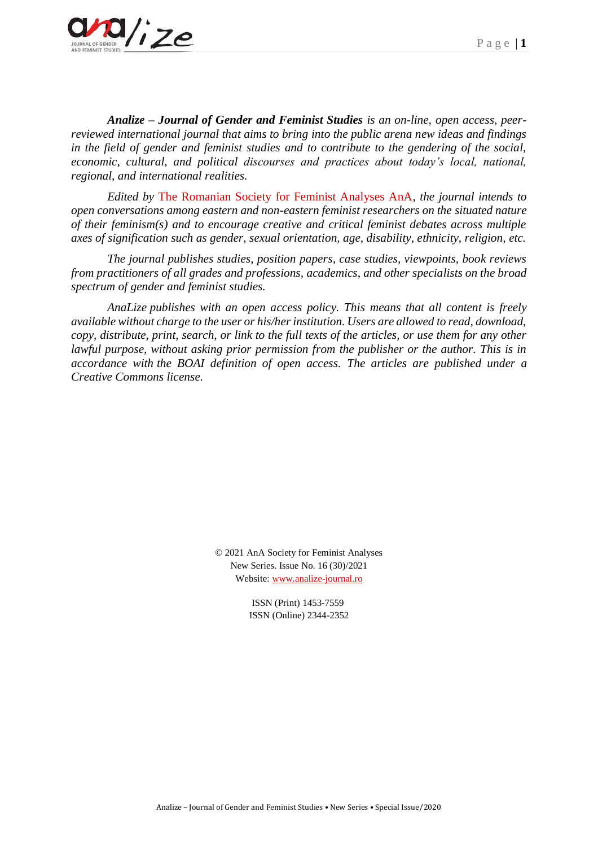

*Analize – Journal of Gender and Feminist Studies is an on-line, open access, peerreviewed international journal that aims to bring into the public arena new ideas and findings in the field of gender and feminist studies and to contribute to the gendering of the social, economic, cultural, and political discourses and practices about today's local, national, regional, and international realities.*

*Edited by* The Romanian Society for Feminist Analyses AnA*, the journal intends to open conversations among eastern and non-eastern feminist researchers on the situated nature of their feminism(s) and to encourage creative and critical feminist debates across multiple axes of signification such as gender, sexual orientation, age, disability, ethnicity, religion, etc.*

*The journal publishes studies, position papers, case studies, viewpoints, book reviews from practitioners of all grades and professions, academics, and other specialists on the broad spectrum of gender and feminist studies.*

*AnaLize publishes with an open access policy. This means that all content is freely available without charge to the user or his/her institution. Users are allowed to read, download, copy, distribute, print, search, or link to the full texts of the articles, or use them for any other lawful purpose, without asking prior permission from the publisher or the author. This is in accordance with the BOAI definition of open access. The articles are published under a Creative Commons license.*

> © 2021 AnA Society for Feminist Analyses New Series. Issue No. 16 (30)/2021 Website: [www.analize-journal.ro](http://www.analize-journal.ro/)

> > ISSN (Print) 1453-7559 ISSN (Online) 2344-2352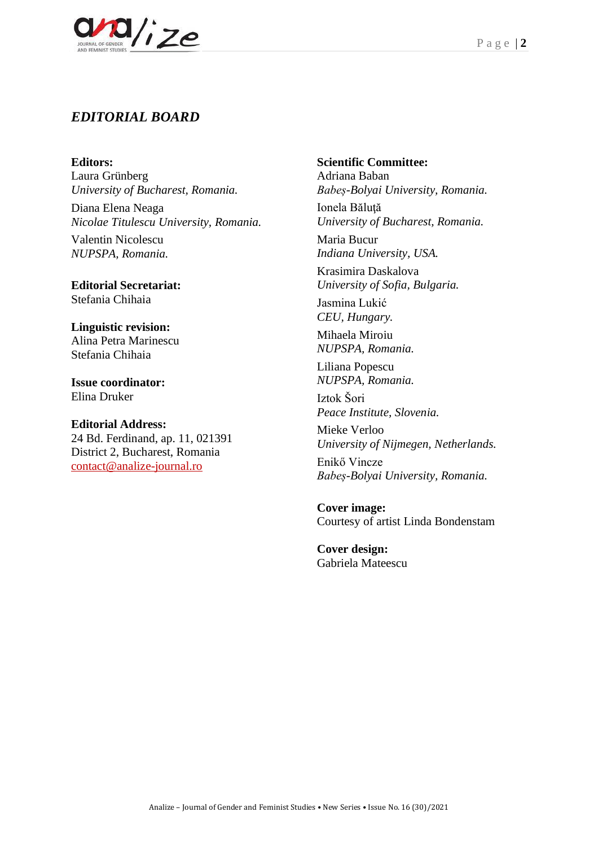

# *EDITORIAL BOARD*

**Editors:**

Laura Grünberg *University of Bucharest, Romania.*

Diana Elena Neaga *Nicolae Titulescu University, Romania.*

Valentin Nicolescu *NUPSPA, Romania.*

**Editorial Secretariat:** Stefania Chihaia

**Linguistic revision:** Alina Petra Marinescu Stefania Chihaia

**Issue coordinator:**  Elina Druker

**Editorial Address:** 24 Bd. Ferdinand, ap. 11, 021391 District 2, Bucharest, Romania [contact@analize-journal.ro](mailto:contact@analize-journal.ro)

**Scientific Committee:**

Adriana Baban *Babeș-Bolyai University, Romania.* Ionela Bălută *University of Bucharest, Romania.*

Maria Bucur *Indiana University, USA.*

Krasimira Daskalova *University of Sofia, Bulgaria.*

Jasmina Lukić *CEU, Hungary.*

Mihaela Miroiu *NUPSPA, Romania.*

Liliana Popescu *NUPSPA, Romania.*

Iztok Šori *Peace Institute, Slovenia.*

Mieke Verloo *University of Nijmegen, Netherlands.*

Enikő Vincze *Babeș-Bolyai University, Romania.*

**Cover image:** Courtesy of artist Linda Bondenstam

**Cover design:** Gabriela Mateescu